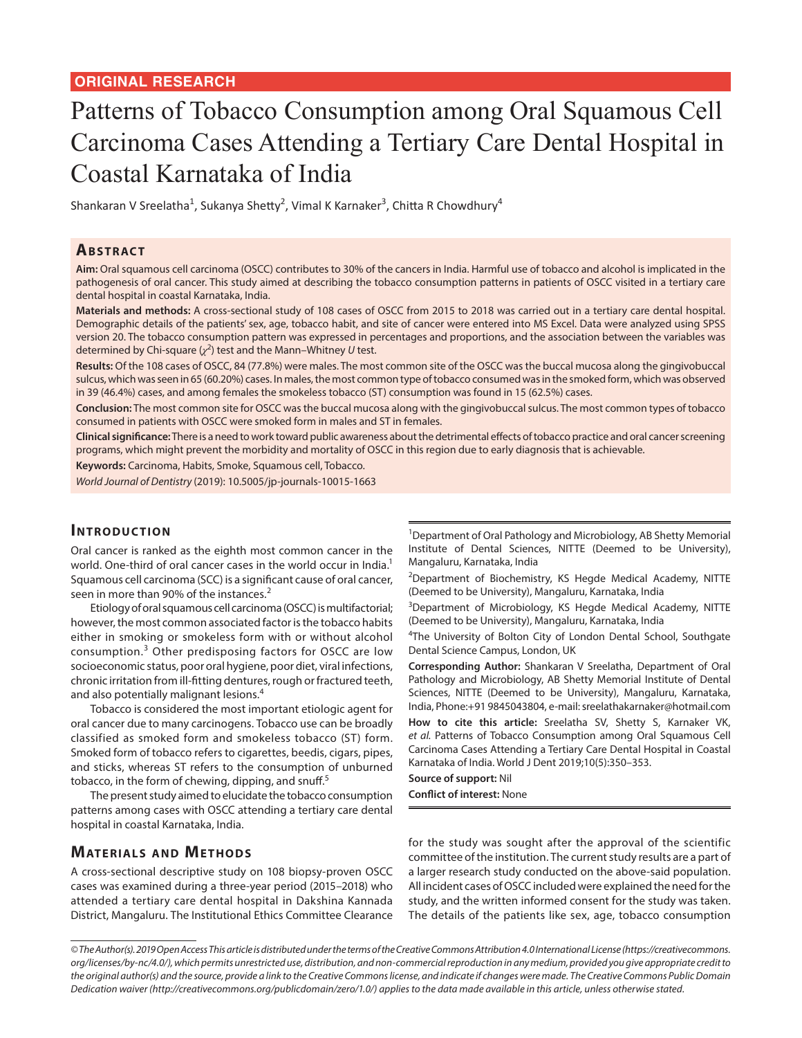# Patterns of Tobacco Consumption among Oral Squamous Cell Carcinoma Cases Attending a Tertiary Care Dental Hospital in Coastal Karnataka of India

Shankaran V Sreelatha<sup>1</sup>, Sukanya Shetty<sup>2</sup>, Vimal K Karnaker<sup>3</sup>, Chitta R Chowdhury<sup>4</sup>

## **ABSTRACT**

**Aim:** Oral squamous cell carcinoma (OSCC) contributes to 30% of the cancers in India. Harmful use of tobacco and alcohol is implicated in the pathogenesis of oral cancer. This study aimed at describing the tobacco consumption patterns in patients of OSCC visited in a tertiary care dental hospital in coastal Karnataka, India.

**Materials and methods:** A cross-sectional study of 108 cases of OSCC from 2015 to 2018 was carried out in a tertiary care dental hospital. Demographic details of the patients' sex, age, tobacco habit, and site of cancer were entered into MS Excel. Data were analyzed using SPSS version 20. The tobacco consumption pattern was expressed in percentages and proportions, and the association between the variables was determined by Chi-square  $(\chi^2)$  test and the Mann–Whitney *U* test.

**Results:** Of the 108 cases of OSCC, 84 (77.8%) were males. The most common site of the OSCC was the buccal mucosa along the gingivobuccal sulcus, which was seen in 65 (60.20%) cases. In males, the most common type of tobacco consumed was in the smoked form, which was observed in 39 (46.4%) cases, and among females the smokeless tobacco (ST) consumption was found in 15 (62.5%) cases.

**Conclusion:** The most common site for OSCC was the buccal mucosa along with the gingivobuccal sulcus. The most common types of tobacco consumed in patients with OSCC were smoked form in males and ST in females.

**Clinical significance:** There is a need to work toward public awareness about the detrimental effects of tobacco practice and oral cancer screening programs, which might prevent the morbidity and mortality of OSCC in this region due to early diagnosis that is achievable.

**Keywords:** Carcinoma, Habits, Smoke, Squamous cell, Tobacco.

*World Journal of Dentistry* (2019): 10.5005/jp-journals-10015-1663

#### **INTRODUCTION**

Oral cancer is ranked as the eighth most common cancer in the world. One-third of oral cancer cases in the world occur in India.<sup>1</sup> Squamous cell carcinoma (SCC) is a significant cause of oral cancer, seen in more than 90% of the instances.<sup>2</sup>

Etiology of oral squamous cell carcinoma (OSCC) is multifactorial; however, the most common associated factor is the tobacco habits either in smoking or smokeless form with or without alcohol consumption.<sup>3</sup> Other predisposing factors for OSCC are low socioeconomic status, poor oral hygiene, poor diet, viral infections, chronic irritation from ill-fitting dentures, rough or fractured teeth, and also potentially malignant lesions.<sup>4</sup>

Tobacco is considered the most important etiologic agent for oral cancer due to many carcinogens. Tobacco use can be broadly classified as smoked form and smokeless tobacco (ST) form. Smoked form of tobacco refers to cigarettes, beedis, cigars, pipes, and sticks, whereas ST refers to the consumption of unburned tobacco, in the form of chewing, dipping, and snuff.<sup>5</sup>

The present study aimed to elucidate the tobacco consumption patterns among cases with OSCC attending a tertiary care dental hospital in coastal Karnataka, India.

# **MATERIALS AND METHODS**

A cross-sectional descriptive study on 108 biopsy-proven OSCC cases was examined during a three-year period (2015–2018) who attended a tertiary care dental hospital in Dakshina Kannada District, Mangaluru. The Institutional Ethics Committee Clearance

<sup>1</sup>Department of Oral Pathology and Microbiology, AB Shetty Memorial Institute of Dental Sciences, NITTE (Deemed to be University), Mangaluru, Karnataka, India

<sup>2</sup>Department of Biochemistry, KS Hegde Medical Academy, NITTE (Deemed to be University), Mangaluru, Karnataka, India

<sup>3</sup>Department of Microbiology, KS Hegde Medical Academy, NITTE (Deemed to be University), Mangaluru, Karnataka, India

<sup>4</sup>The University of Bolton City of London Dental School, Southgate Dental Science Campus, London, UK

**Corresponding Author:** Shankaran V Sreelatha, Department of Oral Pathology and Microbiology, AB Shetty Memorial Institute of Dental Sciences, NITTE (Deemed to be University), Mangaluru, Karnataka, India, Phone:+91 9845043804, e-mail: sreelathakarnaker@hotmail.com

**How to cite this article:** Sreelatha SV, Shetty S, Karnaker VK, *et al.* Patterns of Tobacco Consumption among Oral Squamous Cell Carcinoma Cases Attending a Tertiary Care Dental Hospital in Coastal Karnataka of India. World J Dent 2019;10(5):350–353.

**Source of support:** Nil

**Conflict of interest:** None

for the study was sought after the approval of the scientific committee of the institution. The current study results are a part of a larger research study conducted on the above-said population. All incident cases of OSCC included were explained the need for the study, and the written informed consent for the study was taken. The details of the patients like sex, age, tobacco consumption

*<sup>©</sup> The Author(s). 2019 Open Access This article is distributed under the terms of the Creative Commons Attribution 4.0 International License (https://creativecommons. org/licenses/by-nc/4.0/), which permits unrestricted use, distribution, and non-commercial reproduction in any medium, provided you give appropriate credit to the original author(s) and the source, provide a link to the Creative Commons license, and indicate if changes were made. The Creative Commons Public Domain Dedication waiver (http://creativecommons.org/publicdomain/zero/1.0/) applies to the data made available in this article, unless otherwise stated.*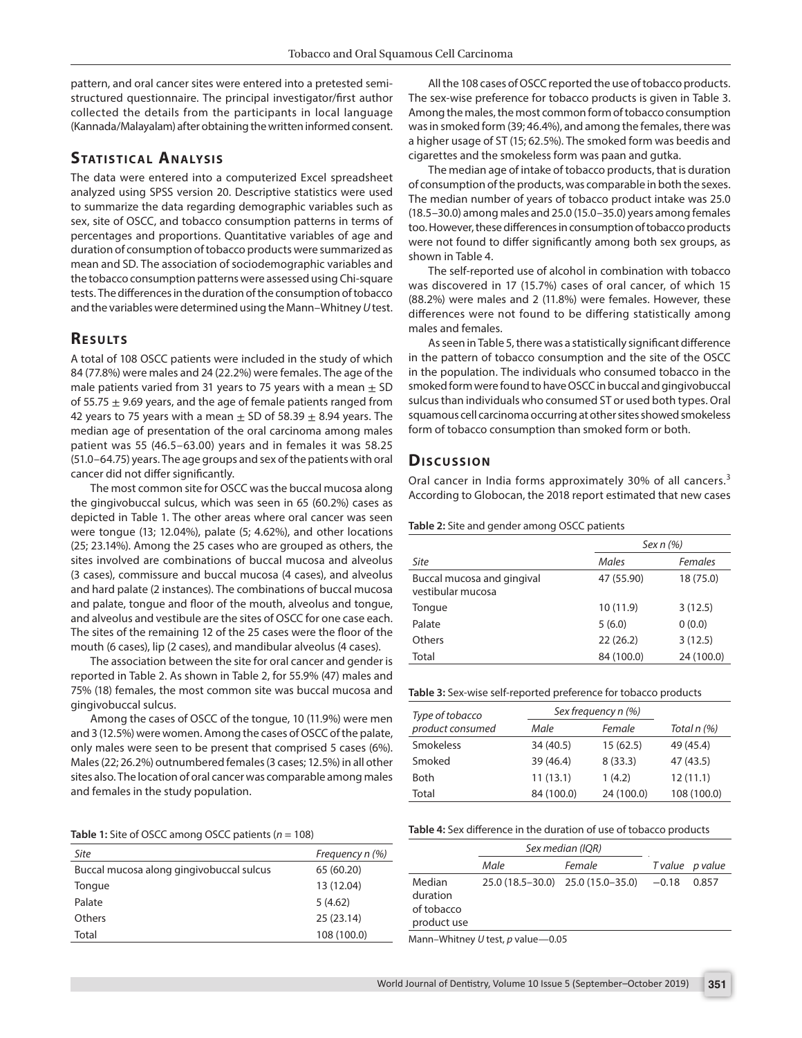pattern, and oral cancer sites were entered into a pretested semistructured questionnaire. The principal investigator/first author collected the details from the participants in local language (Kannada/Malayalam) after obtaining the written informed consent.

# **STATISTICAL ANALYSIS**

The data were entered into a computerized Excel spreadsheet analyzed using SPSS version 20. Descriptive statistics were used to summarize the data regarding demographic variables such as sex, site of OSCC, and tobacco consumption patterns in terms of percentages and proportions. Quantitative variables of age and duration of consumption of tobacco products were summarized as mean and SD. The association of sociodemographic variables and the tobacco consumption patterns were assessed using Chi-square tests. The differences in the duration of the consumption of tobacco and the variables were determined using the Mann–Whitney *U* test.

# **RESULTS**

A total of 108 OSCC patients were included in the study of which 84 (77.8%) were males and 24 (22.2%) were females. The age of the male patients varied from 31 years to 75 years with a mean  $\pm$  SD of 55.75  $\pm$  9.69 years, and the age of female patients ranged from 42 years to 75 years with a mean  $\pm$  SD of 58.39  $\pm$  8.94 years. The median age of presentation of the oral carcinoma among males patient was 55 (46.5–63.00) years and in females it was 58.25 (51.0–64.75) years. The age groups and sex of the patients with oral cancer did not differ significantly.

The most common site for OSCC was the buccal mucosa along the gingivobuccal sulcus, which was seen in 65 (60.2%) cases as depicted in Table 1. The other areas where oral cancer was seen were tongue (13; 12.04%), palate (5; 4.62%), and other locations (25; 23.14%). Among the 25 cases who are grouped as others, the sites involved are combinations of buccal mucosa and alveolus (3 cases), commissure and buccal mucosa (4 cases), and alveolus and hard palate (2 instances). The combinations of buccal mucosa and palate, tongue and floor of the mouth, alveolus and tongue, and alveolus and vestibule are the sites of OSCC for one case each. The sites of the remaining 12 of the 25 cases were the floor of the mouth (6 cases), lip (2 cases), and mandibular alveolus (4 cases).

The association between the site for oral cancer and gender is reported in Table 2. As shown in Table 2, for 55.9% (47) males and 75% (18) females, the most common site was buccal mucosa and gingivobuccal sulcus.

Among the cases of OSCC of the tongue, 10 (11.9%) were men and 3 (12.5%) were women. Among the cases of OSCC of the palate, only males were seen to be present that comprised 5 cases (6%). Males (22; 26.2%) outnumbered females (3 cases; 12.5%) in all other sites also. The location of oral cancer was comparable among males and females in the study population.

**Table 1:** Site of OSCC among OSCC patients (*n* = 108)

| Site                                     | Frequency n (%) |
|------------------------------------------|-----------------|
| Buccal mucosa along gingivobuccal sulcus | 65 (60.20)      |
| Tongue                                   | 13 (12.04)      |
| Palate                                   | 5(4.62)         |
| Others                                   | 25(23.14)       |
| Total                                    | 108 (100.0)     |

All the 108 cases of OSCC reported the use of tobacco products. The sex-wise preference for tobacco products is given in Table 3. Among the males, the most common form of tobacco consumption was in smoked form (39; 46.4%), and among the females, there was a higher usage of ST (15; 62.5%). The smoked form was beedis and cigarettes and the smokeless form was paan and gutka.

The median age of intake of tobacco products, that is duration of consumption of the products, was comparable in both the sexes. The median number of years of tobacco product intake was 25.0 (18.5–30.0) among males and 25.0 (15.0–35.0) years among females too. However, these differences in consumption of tobacco products were not found to differ significantly among both sex groups, as shown in Table 4.

The self-reported use of alcohol in combination with tobacco was discovered in 17 (15.7%) cases of oral cancer, of which 15 (88.2%) were males and 2 (11.8%) were females. However, these differences were not found to be differing statistically among males and females.

As seen in Table 5, there was a statistically significant difference in the pattern of tobacco consumption and the site of the OSCC in the population. The individuals who consumed tobacco in the smoked form were found to have OSCC in buccal and gingivobuccal sulcus than individuals who consumed ST or used both types. Oral squamous cell carcinoma occurring at other sites showed smokeless form of tobacco consumption than smoked form or both.

#### **Dis c u s sio n**

Oral cancer in India forms approximately 30% of all cancers.<sup>3</sup> According to Globocan, the 2018 report estimated that new cases

#### **Table 2:** Site and gender among OSCC patients

|                                                 | Sex n (%)  |                |  |
|-------------------------------------------------|------------|----------------|--|
| Site                                            | Males      | <b>Females</b> |  |
| Buccal mucosa and gingival<br>vestibular mucosa | 47 (55.90) | 18 (75.0)      |  |
| Tongue                                          | 10 (11.9)  | 3(12.5)        |  |
| Palate                                          | 5(6.0)     | 0(0.0)         |  |
| Others                                          | 22(26.2)   | 3(12.5)        |  |
| Total                                           | 84 (100.0) | 24 (100.0)     |  |

| Type of tobacco  | Sex frequency n (%) |            |             |
|------------------|---------------------|------------|-------------|
| product consumed | Male                | Female     | Total n (%) |
| <b>Smokeless</b> | 34 (40.5)           | 15(62.5)   | 49 (45.4)   |
| Smoked           | 39 (46.4)           | 8(33.3)    | 47 (43.5)   |
| <b>Both</b>      | 11(13.1)            | 1(4.2)     | 12(11.1)    |
| Total            | 84 (100.0)          | 24 (100.0) | 108 (100.0) |

#### **Table 4:** Sex difference in the duration of use of tobacco products

|                                                 | Sex median (IQR) |                                   |         |                 |
|-------------------------------------------------|------------------|-----------------------------------|---------|-----------------|
|                                                 | Male             | Female                            |         | T value p value |
| Median<br>duration<br>of tobacco<br>product use |                  | 25.0 (18.5-30.0) 25.0 (15.0-35.0) | $-0.18$ | 0.857           |
| Mann-Whitney U test, p value-0.05               |                  |                                   |         |                 |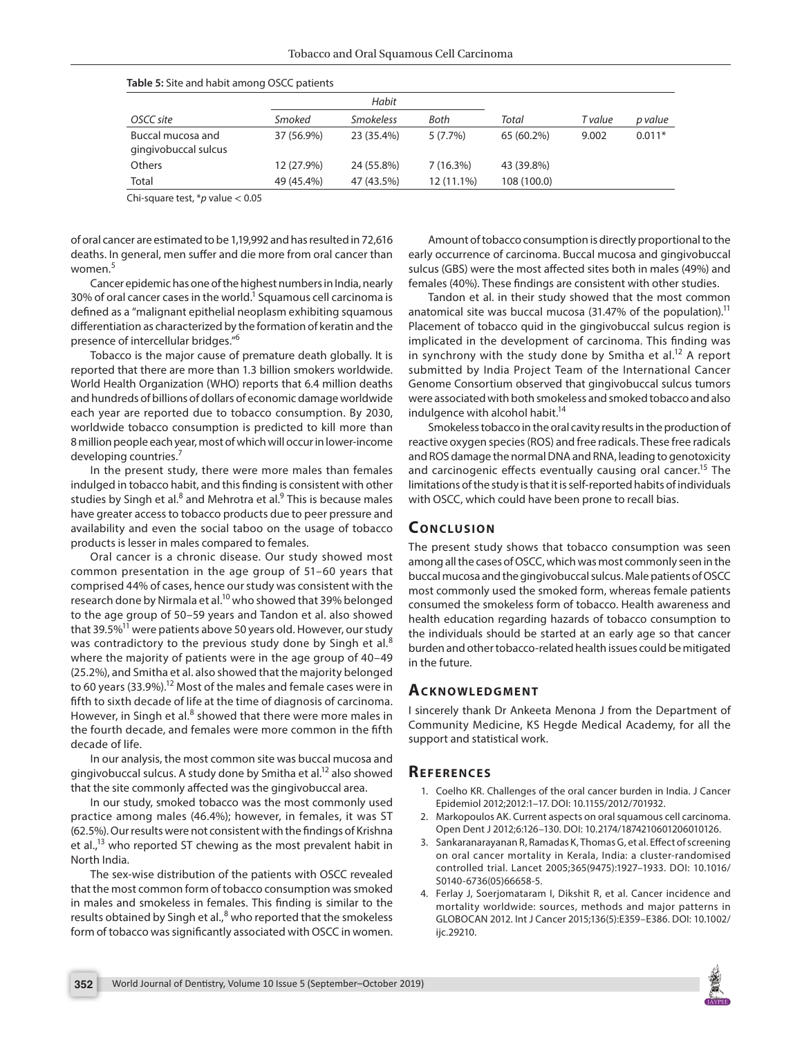|                                           | Habit      |                  |            |             |         |          |
|-------------------------------------------|------------|------------------|------------|-------------|---------|----------|
| OSCC site                                 | Smoked     | <b>Smokeless</b> | Both       | Total       | T value | p value  |
| Buccal mucosa and<br>gingivobuccal sulcus | 37 (56.9%) | 23 (35.4%)       | $5(7.7\%)$ | 65 (60.2%)  | 9.002   | $0.011*$ |
| <b>Others</b>                             | 12 (27.9%) | 24 (55.8%)       | 7(16.3%)   | 43 (39.8%)  |         |          |
| Total                                     | 49 (45.4%) | 47 (43.5%)       | 12 (11.1%) | 108 (100.0) |         |          |

Chi-square test, \**p* value < 0.05

of oral cancer are estimated to be 1,19,992 and has resulted in 72,616 deaths. In general, men suffer and die more from oral cancer than women.<sup>5</sup>

Cancer epidemic has one of the highest numbers in India, nearly 30% of oral cancer cases in the world.<sup>1</sup> Squamous cell carcinoma is defined as a "malignant epithelial neoplasm exhibiting squamous differentiation as characterized by the formation of keratin and the presence of intercellular bridges."6

Tobacco is the major cause of premature death globally. It is reported that there are more than 1.3 billion smokers worldwide. World Health Organization (WHO) reports that 6.4 million deaths and hundreds of billions of dollars of economic damage worldwide each year are reported due to tobacco consumption. By 2030, worldwide tobacco consumption is predicted to kill more than 8 million people each year, most of which will occur in lower-income developing countries.<sup>7</sup>

In the present study, there were more males than females indulged in tobacco habit, and this finding is consistent with other studies by Singh et al.<sup>8</sup> and Mehrotra et al.<sup>9</sup> This is because males have greater access to tobacco products due to peer pressure and availability and even the social taboo on the usage of tobacco products is lesser in males compared to females.

Oral cancer is a chronic disease. Our study showed most common presentation in the age group of 51–60 years that comprised 44% of cases, hence our study was consistent with the research done by Nirmala et al.<sup>10</sup> who showed that 39% belonged to the age group of 50–59 years and Tandon et al. also showed that 39.5% $11$  were patients above 50 years old. However, our study was contradictory to the previous study done by Singh et al.<sup>8</sup> where the majority of patients were in the age group of 40–49 (25.2%), and Smitha et al. also showed that the majority belonged to 60 years (33.9%).<sup>12</sup> Most of the males and female cases were in fifth to sixth decade of life at the time of diagnosis of carcinoma. However, in Singh et al.<sup>8</sup> showed that there were more males in the fourth decade, and females were more common in the fifth decade of life.

In our analysis, the most common site was buccal mucosa and gingivobuccal sulcus. A study done by Smitha et al.12 also showed that the site commonly affected was the gingivobuccal area.

In our study, smoked tobacco was the most commonly used practice among males (46.4%); however, in females, it was ST (62.5%). Our results were not consistent with the findings of Krishna et al.,<sup>13</sup> who reported ST chewing as the most prevalent habit in North India.

The sex-wise distribution of the patients with OSCC revealed that the most common form of tobacco consumption was smoked in males and smokeless in females. This finding is similar to the results obtained by Singh et al.,<sup>8</sup> who reported that the smokeless form of tobacco was significantly associated with OSCC in women.

Amount of tobacco consumption is directly proportional to the early occurrence of carcinoma. Buccal mucosa and gingivobuccal sulcus (GBS) were the most affected sites both in males (49%) and females (40%). These findings are consistent with other studies.

Tandon et al. in their study showed that the most common anatomical site was buccal mucosa (31.47% of the population).<sup>11</sup> Placement of tobacco quid in the gingivobuccal sulcus region is implicated in the development of carcinoma. This finding was in synchrony with the study done by Smitha et al.<sup>12</sup> A report submitted by India Project Team of the International Cancer Genome Consortium observed that gingivobuccal sulcus tumors were associated with both smokeless and smoked tobacco and also indulgence with alcohol habit.<sup>14</sup>

Smokeless tobacco in the oral cavity results in the production of reactive oxygen species (ROS) and free radicals. These free radicals and ROS damage the normal DNA and RNA, leading to genotoxicity and carcinogenic effects eventually causing oral cancer.<sup>15</sup> The limitations of the study is that it is self-reported habits of individuals with OSCC, which could have been prone to recall bias.

# **CONCLUSION**

The present study shows that tobacco consumption was seen among all the cases of OSCC, which was most commonly seen in the buccal mucosa and the gingivobuccal sulcus. Male patients of OSCC most commonly used the smoked form, whereas female patients consumed the smokeless form of tobacco. Health awareness and health education regarding hazards of tobacco consumption to the individuals should be started at an early age so that cancer burden and other tobacco-related health issues could be mitigated in the future.

### **ACKNOWLEDGMENT**

I sincerely thank Dr Ankeeta Menona J from the Department of Community Medicine, KS Hegde Medical Academy, for all the support and statistical work.

### **Re f e r e n c e s**

- 1. Coelho KR. Challenges of the oral cancer burden in India. J Cancer Epidemiol 2012;2012:1–17. DOI: 10.1155/2012/701932.
- 2. Markopoulos AK. Current aspects on oral squamous cell carcinoma. Open Dent J 2012;6:126–130. DOI: 10.2174/1874210601206010126.
- 3. Sankaranarayanan R, Ramadas K, Thomas G, et al. Effect of screening on oral cancer mortality in Kerala, India: a cluster-randomised controlled trial. Lancet 2005;365(9475):1927–1933. DOI: 10.1016/ S0140-6736(05)66658-5.
- 4. Ferlay J, Soerjomataram I, Dikshit R, et al. Cancer incidence and mortality worldwide: sources, methods and major patterns in GLOBOCAN 2012. Int J Cancer 2015;136(5):E359–E386. DOI: 10.1002/ ijc.29210.